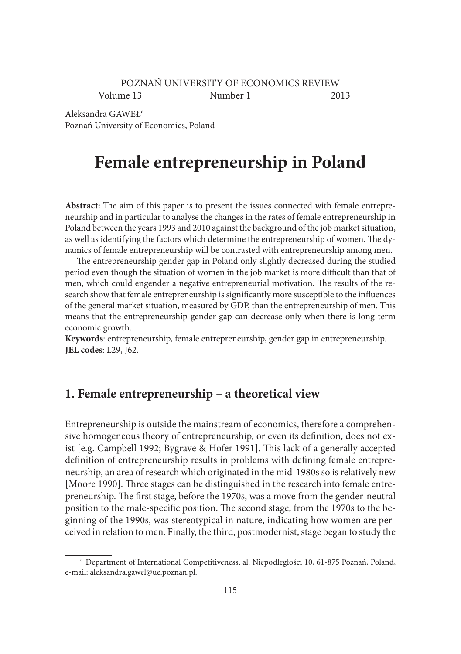Volume 13 Number 1 2013

Aleksandra GAWEŁ<sup>a</sup> Poznań University of Economics, Poland

# **Female entrepreneurship in Poland**

Abstract: The aim of this paper is to present the issues connected with female entrepreneurship and in particular to analyse the changes in the rates of female entrepreneurship in Poland between the years 1993 and 2010 against the background of the job market situation, as well as identifying the factors which determine the entrepreneurship of women. The dynamics of female entrepreneurship will be contrasted with entrepreneurship among men.

The entrepreneurship gender gap in Poland only slightly decreased during the studied period even though the situation of women in the job market is more difficult than that of men, which could engender a negative entrepreneurial motivation. The results of the research show that female entrepreneurship is significantly more susceptible to the influences of the general market situation, measured by GDP, than the entrepreneurship of men. This means that the entrepreneurship gender gap can decrease only when there is long-term economic growth.

**Keywords**: entrepreneurship, female entrepreneurship, gender gap in entrepreneurship. **JEL codes**: L29, J62.

## **1. Female entrepreneurship – a theoretical view**

Entrepreneurship is outside the mainstream of economics, therefore a comprehensive homogeneous theory of entrepreneurship, or even its definition, does not exist  $[e.g. Campbell 1992; Bygrave & Hofer 1991]$ . This lack of a generally accepted definition of entrepreneurship results in problems with defining female entrepreneurship, an area of research which originated in the mid-1980s so is relatively new [Moore 1990]. Three stages can be distinguished in the research into female entrepreneurship. The first stage, before the 1970s, was a move from the gender-neutral position to the male-specific position. The second stage, from the 1970s to the beginning of the 1990s, was stereotypical in nature, indicating how women are perceived in relation to men. Finally, the third, postmodernist, stage began to study the

a Department of International Competitiveness, al. Niepodległości 10, 61-875 Poznań, Poland, e-mail: aleksandra.gawel@ue.poznan.pl.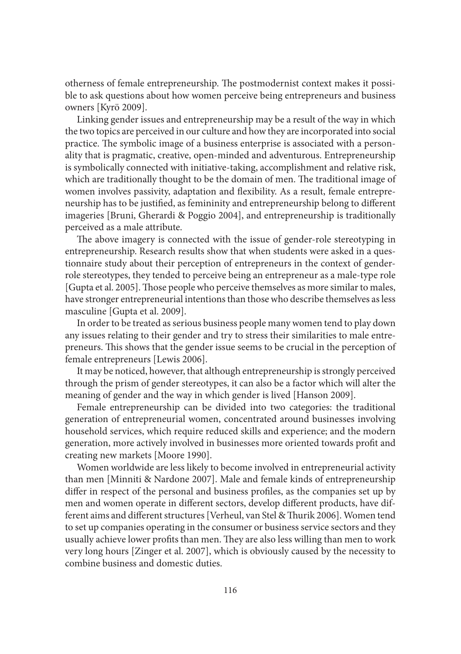otherness of female entrepreneurship. The postmodernist context makes it possible to ask questions about how women perceive being entrepreneurs and business owners [Kyrö 2009].

Linking gender issues and entrepreneurship may be a result of the way in which the two topics are perceived in our culture and how they are incorporated into social practice. The symbolic image of a business enterprise is associated with a personality that is pragmatic, creative, open-minded and adventurous. Entrepreneurship is symbolically connected with initiative-taking, accomplishment and relative risk, which are traditionally thought to be the domain of men. The traditional image of women involves passivity, adaptation and flexibility. As a result, female entrepreneurship has to be justified, as femininity and entrepreneurship belong to different imageries [Bruni, Gherardi & Poggio 2004], and entrepreneurship is traditionally perceived as a male attribute.

The above imagery is connected with the issue of gender-role stereotyping in entrepreneurship. Research results show that when students were asked in a questionnaire study about their perception of entrepreneurs in the context of genderrole stereotypes, they tended to perceive being an entrepreneur as a male-type role [Gupta et al. 2005]. Those people who perceive themselves as more similar to males, have stronger entrepreneurial intentions than those who describe themselves as less masculine [Gupta et al. 2009].

In order to be treated as serious business people many women tend to play down any issues relating to their gender and try to stress their similarities to male entrepreneurs. This shows that the gender issue seems to be crucial in the perception of female entrepreneurs [Lewis 2006].

It may be noticed, however, that although entrepreneurship is strongly perceived through the prism of gender stereotypes, it can also be a factor which will alter the meaning of gender and the way in which gender is lived [Hanson 2009].

Female entrepreneurship can be divided into two categories: the traditional generation of entrepreneurial women, concentrated around businesses involving household services, which require reduced skills and experience; and the modern generation, more actively involved in businesses more oriented towards profi t and creating new markets [Moore 1990].

Women worldwide are less likely to become involved in entrepreneurial activity than men [Minniti & Nardone 2007]. Male and female kinds of entrepreneurship differ in respect of the personal and business profiles, as the companies set up by men and women operate in different sectors, develop different products, have different aims and different structures [Verheul, van Stel & Thurik 2006]. Women tend to set up companies operating in the consumer or business service sectors and they usually achieve lower profits than men. They are also less willing than men to work very long hours [Zinger et al. 2007], which is obviously caused by the necessity to combine business and domestic duties.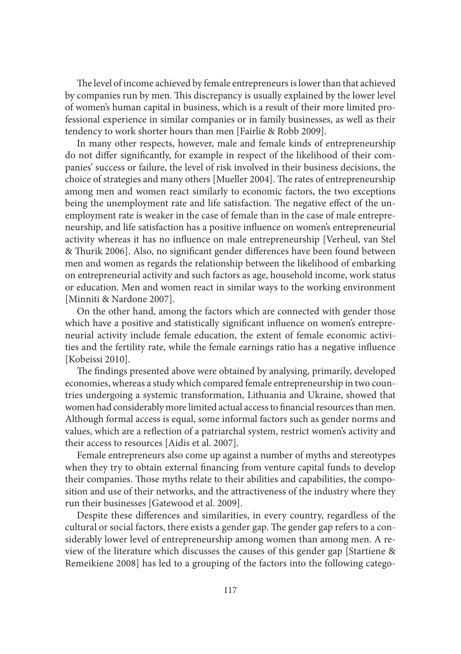The level of income achieved by female entrepreneurs is lower than that achieved by companies run by men. This discrepancy is usually explained by the lower level of women's human capital in business, which is a result of their more limited professional experience in similar companies or in family businesses, as well as their tendency to work shorter hours than men [Fairlie & Robb 2009].

In many other respects, however, male and female kinds of entrepreneurship do not differ significantly, for example in respect of the likelihood of their companies' success or failure, the level of risk involved in their business decisions, the choice of strategies and many others [Mueller 2004]. The rates of entrepreneurship among men and women react similarly to economic factors, the two exceptions being the unemployment rate and life satisfaction. The negative effect of the unemployment rate is weaker in the case of female than in the case of male entrepreneurship, and life satisfaction has a positive influence on women's entrepreneurial activity whereas it has no influence on male entrepreneurship [Verheul, van Stel & Thurik 2006]. Also, no significant gender differences have been found between men and women as regards the relationship between the likelihood of embarking on entrepreneurial activity and such factors as age, household income, work status or education. Men and women react in similar ways to the working environment [Minniti & Nardone 2007].

On the other hand, among the factors which are connected with gender those which have a positive and statistically significant influence on women's entrepreneurial activity include female education, the extent of female economic activities and the fertility rate, while the female earnings ratio has a negative influence [Kobeissi 2010].

The findings presented above were obtained by analysing, primarily, developed economies, whereas a study which compared female entrepreneurship in two countries undergoing a systemic transformation, Lithuania and Ukraine, showed that women had considerably more limited actual access to financial resources than men. Although formal access is equal, some informal factors such as gender norms and values, which are a reflection of a patriarchal system, restrict women's activity and their access to resources [Aidis et al. 2007].

Female entrepreneurs also come up against a number of myths and stereotypes when they try to obtain external financing from venture capital funds to develop their companies. Those myths relate to their abilities and capabilities, the composition and use of their networks, and the attractiveness of the industry where they run their businesses [Gatewood et al. 2009].

Despite these differences and similarities, in every country, regardless of the cultural or social factors, there exists a gender gap. The gender gap refers to a considerably lower level of entrepreneurship among women than among men. A review of the literature which discusses the causes of this gender gap [Startiene & Remeikiene 2008] has led to a grouping of the factors into the following catego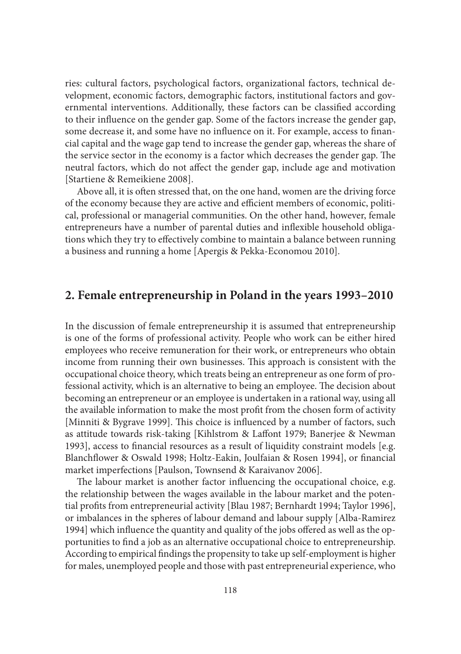ries: cultural factors, psychological factors, organizational factors, technical development, economic factors, demographic factors, institutional factors and governmental interventions. Additionally, these factors can be classified according to their influence on the gender gap. Some of the factors increase the gender gap, some decrease it, and some have no influence on it. For example, access to financial capital and the wage gap tend to increase the gender gap, whereas the share of the service sector in the economy is a factor which decreases the gender gap. The neutral factors, which do not affect the gender gap, include age and motivation [Startiene & Remeikiene 2008].

Above all, it is often stressed that, on the one hand, women are the driving force of the economy because they are active and efficient members of economic, political, professional or managerial communities. On the other hand, however, female entrepreneurs have a number of parental duties and inflexible household obligations which they try to effectively combine to maintain a balance between running a business and running a home [Apergis & Pekka-Economou 2010].

#### **2. Female entrepreneurship in Poland in the years 1993–2010**

In the discussion of female entrepreneurship it is assumed that entrepreneurship is one of the forms of professional activity. People who work can be either hired employees who receive remuneration for their work, or entrepreneurs who obtain income from running their own businesses. This approach is consistent with the occupational choice theory, which treats being an entrepreneur as one form of professional activity, which is an alternative to being an employee. The decision about becoming an entrepreneur or an employee is undertaken in a rational way, using all the available information to make the most profit from the chosen form of activity [Minniti & Bygrave 1999]. This choice is influenced by a number of factors, such as attitude towards risk-taking [Kihlstrom & Laffont 1979; Banerjee & Newman 1993], access to financial resources as a result of liquidity constraint models [e.g. Blanchflower & Oswald 1998; Holtz-Eakin, Joulfaian & Rosen 1994], or financial market imperfections [Paulson, Townsend & Karaivanov 2006].

The labour market is another factor influencing the occupational choice, e.g. the relationship between the wages available in the labour market and the potential profits from entrepreneurial activity [Blau 1987; Bernhardt 1994; Taylor 1996], or imbalances in the spheres of labour demand and labour supply [Alba-Ramirez 1994] which influence the quantity and quality of the jobs offered as well as the opportunities to find a job as an alternative occupational choice to entrepreneurship. According to empirical findings the propensity to take up self-employment is higher for males, unemployed people and those with past entrepreneurial experience, who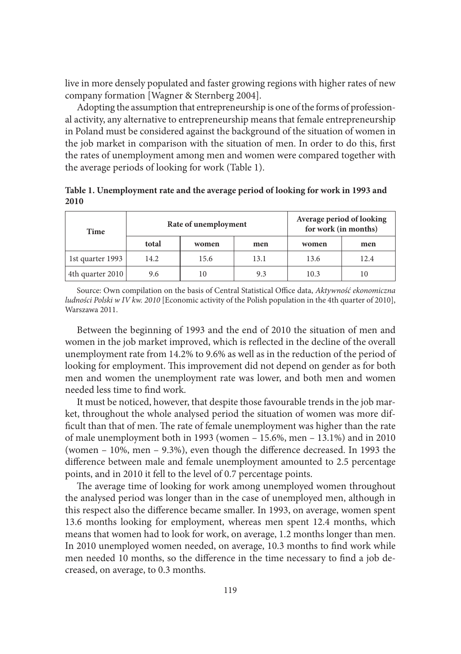live in more densely populated and faster growing regions with higher rates of new company formation [Wagner & Sternberg 2004].

Adopting the assumption that entrepreneurship is one of the forms of professional activity, any alternative to entrepreneurship means that female entrepreneurship in Poland must be considered against the background of the situation of women in the job market in comparison with the situation of men. In order to do this, first the rates of unemployment among men and women were compared together with the average periods of looking for work (Table 1).

**Table 1. Unemployment rate and the average period of looking for work in 1993 and 2010**

| Time             |       | Rate of unemployment | Average period of looking<br>for work (in months) |       |      |
|------------------|-------|----------------------|---------------------------------------------------|-------|------|
|                  | total | women                | men                                               | women | men  |
| 1st quarter 1993 | 14.2  | 15.6                 | 13.1                                              | 13.6  | 12.4 |
| 4th quarter 2010 | 9.6   |                      | 9.3                                               | 10.3  | 10   |

Source: Own compilation on the basis of Central Statistical Office data, Aktywność ekonomiczna *ludności Polski w IV kw. 2010* [Economic activity of the Polish population in the 4th quarter of 2010], Warszawa 2011.

Between the beginning of 1993 and the end of 2010 the situation of men and women in the job market improved, which is reflected in the decline of the overall unemployment rate from 14.2% to 9.6% as well as in the reduction of the period of looking for employment. This improvement did not depend on gender as for both men and women the unemployment rate was lower, and both men and women needed less time to find work.

It must be noticed, however, that despite those favourable trends in the job market, throughout the whole analysed period the situation of women was more difficult than that of men. The rate of female unemployment was higher than the rate of male unemployment both in 1993 (women – 15.6%, men – 13.1%) and in 2010 (women  $-10\%$ , men  $-9.3\%$ ), even though the difference decreased. In 1993 the difference between male and female unemployment amounted to 2.5 percentage points, and in 2010 it fell to the level of 0.7 percentage points.

The average time of looking for work among unemployed women throughout the analysed period was longer than in the case of unemployed men, although in this respect also the difference became smaller. In 1993, on average, women spent 13.6 months looking for employment, whereas men spent 12.4 months, which means that women had to look for work, on average, 1.2 months longer than men. In 2010 unemployed women needed, on average, 10.3 months to find work while men needed 10 months, so the difference in the time necessary to find a job decreased, on average, to 0.3 months.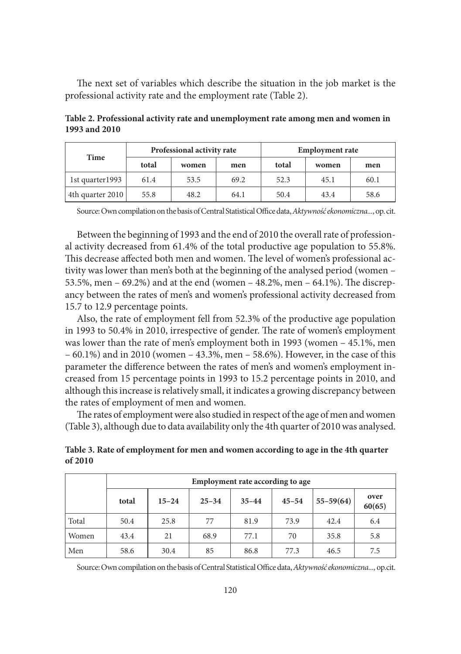The next set of variables which describe the situation in the job market is the professional activity rate and the employment rate (Table 2).

| Time             | Professional activity rate |       |      | <b>Employment rate</b> |       |      |  |
|------------------|----------------------------|-------|------|------------------------|-------|------|--|
|                  | total                      | women | men  | total                  | women | men  |  |
| 1st quarter1993  | 61.4                       | 53.5  | 69.2 | 52.3                   | 45.1  | 60.1 |  |
| 4th quarter 2010 | 55.8                       | 48.2  | 64.1 | 50.4                   | 43.4  | 58.6 |  |

**Table 2. Professional activity rate and unemployment rate among men and women in 1993 and 2010**

Source: Own compilation on the basis of Central Statistical Office data, Aktywność ekonomiczna..., op. cit.

Between the beginning of 1993 and the end of 2010 the overall rate of professional activity decreased from 61.4% of the total productive age population to 55.8%. This decrease affected both men and women. The level of women's professional activity was lower than men's both at the beginning of the analysed period (women – 53.5%, men – 69.2%) and at the end (women – 48.2%, men – 64.1%). The discrepancy between the rates of men's and women's professional activity decreased from 15.7 to 12.9 percentage points.

Also, the rate of employment fell from 52.3% of the productive age population in 1993 to 50.4% in 2010, irrespective of gender. The rate of women's employment was lower than the rate of men's employment both in 1993 (women – 45.1%, men – 60.1%) and in 2010 (women – 43.3%, men – 58.6%). However, in the case of this parameter the difference between the rates of men's and women's employment increased from 15 percentage points in 1993 to 15.2 percentage points in 2010, and although this increase is relatively small, it indicates a growing discrepancy between the rates of employment of men and women.

The rates of employment were also studied in respect of the age of men and women (Table 3), although due to data availability only the 4th quarter of 2010 was analysed.

|       | Employment rate according to age |           |           |           |           |               |                |  |
|-------|----------------------------------|-----------|-----------|-----------|-----------|---------------|----------------|--|
|       | total                            | $15 - 24$ | $25 - 34$ | $35 - 44$ | $45 - 54$ | $55 - 59(64)$ | over<br>60(65) |  |
| Total | 50.4                             | 25.8      | 77        | 81.9      | 73.9      | 42.4          | 6.4            |  |
| Women | 43.4                             | 21        | 68.9      | 77.1      | 70        | 35.8          | 5.8            |  |
| Men   | 58.6                             | 30.4      | 85        | 86.8      | 77.3      | 46.5          | 7.5            |  |

**Table 3. Rate of employment for men and women according to age in the 4th quarter of 2010**

Source: Own compilation on the basis of Central Statistical Office data, Aktywność ekonomiczna..., op.cit.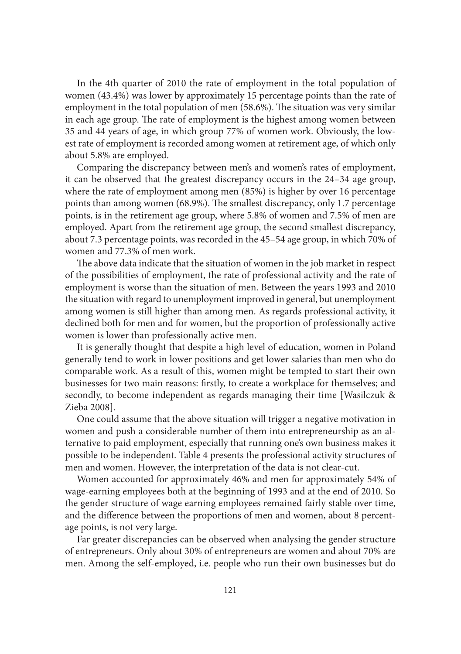In the 4th quarter of 2010 the rate of employment in the total population of women (43.4%) was lower by approximately 15 percentage points than the rate of employment in the total population of men (58.6%). The situation was very similar in each age group. The rate of employment is the highest among women between 35 and 44 years of age, in which group 77% of women work. Obviously, the lowest rate of employment is recorded among women at retirement age, of which only about 5.8% are employed.

Comparing the discrepancy between men's and women's rates of employment, it can be observed that the greatest discrepancy occurs in the 24–34 age group, where the rate of employment among men (85%) is higher by over 16 percentage points than among women (68.9%). The smallest discrepancy, only 1.7 percentage points, is in the retirement age group, where 5.8% of women and 7.5% of men are employed. Apart from the retirement age group, the second smallest discrepancy, about 7.3 percentage points, was recorded in the 45–54 age group, in which 70% of women and 77.3% of men work.

The above data indicate that the situation of women in the job market in respect of the possibilities of employment, the rate of professional activity and the rate of employment is worse than the situation of men. Between the years 1993 and 2010 the situation with regard to unemployment improved in general, but unemployment among women is still higher than among men. As regards professional activity, it declined both for men and for women, but the proportion of professionally active women is lower than professionally active men.

It is generally thought that despite a high level of education, women in Poland generally tend to work in lower positions and get lower salaries than men who do comparable work. As a result of this, women might be tempted to start their own businesses for two main reasons: firstly, to create a workplace for themselves; and secondly, to become independent as regards managing their time [Wasilczuk & Zieba 2008].

One could assume that the above situation will trigger a negative motivation in women and push a considerable number of them into entrepreneurship as an alternative to paid employment, especially that running one's own business makes it possible to be independent. Table 4 presents the professional activity structures of men and women. However, the interpretation of the data is not clear-cut.

Women accounted for approximately 46% and men for approximately 54% of wage-earning employees both at the beginning of 1993 and at the end of 2010. So the gender structure of wage earning employees remained fairly stable over time, and the difference between the proportions of men and women, about 8 percentage points, is not very large.

Far greater discrepancies can be observed when analysing the gender structure of entrepreneurs. Only about 30% of entrepreneurs are women and about 70% are men. Among the self-employed, i.e. people who run their own businesses but do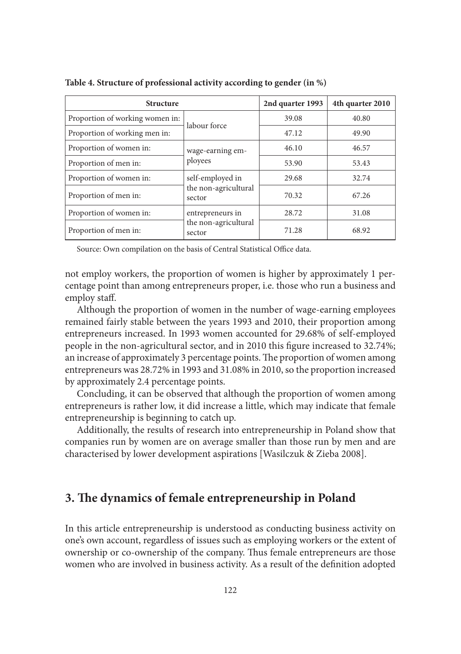| <b>Structure</b>                | 2nd quarter 1993               | 4th quarter 2010 |       |  |
|---------------------------------|--------------------------------|------------------|-------|--|
| Proportion of working women in: | labour force                   | 39.08            | 40.80 |  |
| Proportion of working men in:   |                                | 47.12            | 49.90 |  |
| Proportion of women in:         | wage-earning em-               | 46.10            | 46.57 |  |
| Proportion of men in:           | ployees                        | 53.90            | 53.43 |  |
| Proportion of women in:         | self-employed in               | 29.68            | 32.74 |  |
| Proportion of men in:           | the non-agricultural<br>sector | 70.32            | 67.26 |  |
| Proportion of women in:         | entrepreneurs in               | 28.72            | 31.08 |  |
| Proportion of men in:           | the non-agricultural<br>sector | 71.28            | 68.92 |  |

**Table 4. Structure of professional activity according to gender (in %)**

Source: Own compilation on the basis of Central Statistical Office data.

not employ workers, the proportion of women is higher by approximately 1 percentage point than among entrepreneurs proper, i.e. those who run a business and employ staff.

Although the proportion of women in the number of wage-earning employees remained fairly stable between the years 1993 and 2010, their proportion among entrepreneurs increased. In 1993 women accounted for 29.68% of self-employed people in the non-agricultural sector, and in 2010 this figure increased to 32.74%; an increase of approximately 3 percentage points. The proportion of women among entrepreneurs was 28.72% in 1993 and 31.08% in 2010, so the proportion increased by approximately 2.4 percentage points.

Concluding, it can be observed that although the proportion of women among entrepreneurs is rather low, it did increase a little, which may indicate that female entrepreneurship is beginning to catch up.

Additionally, the results of research into entrepreneurship in Poland show that companies run by women are on average smaller than those run by men and are characterised by lower development aspirations [Wasilczuk & Zieba 2008].

## **3. The dynamics of female entrepreneurship in Poland**

In this article entrepreneurship is understood as conducting business activity on one's own account, regardless of issues such as employing workers or the extent of ownership or co-ownership of the company. Thus female entrepreneurs are those women who are involved in business activity. As a result of the definition adopted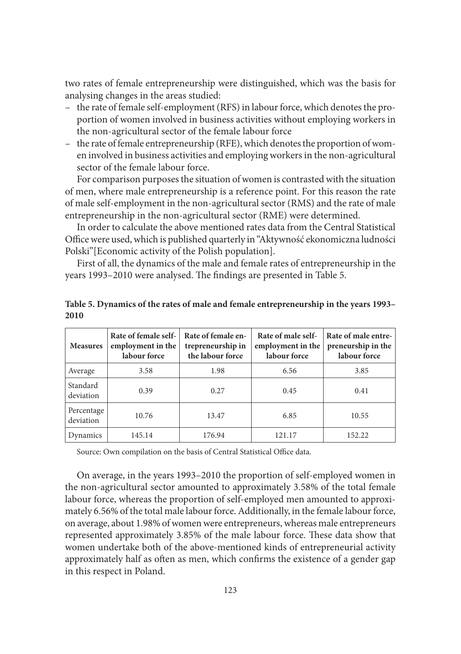two rates of female entrepreneurship were distinguished, which was the basis for analysing changes in the areas studied:

- the rate of female self-employment (RFS) in labour force, which denotes the proportion of women involved in business activities without employing workers in the non-agricultural sector of the female labour force
- the rate of female entrepreneurship (RFE), which denotes the proportion of women involved in business activities and employing workers in the non-agricultural sector of the female labour force.

For comparison purposes the situation of women is contrasted with the situation of men, where male entrepreneurship is a reference point. For this reason the rate of male self-employment in the non-agricultural sector (RMS) and the rate of male entrepreneurship in the non-agricultural sector (RME) were determined.

In order to calculate the above mentioned rates data from the Central Statistical Office were used, which is published quarterly in "Aktywność ekonomiczna ludności Polski"[Economic activity of the Polish population].

First of all, the dynamics of the male and female rates of entrepreneurship in the years 1993–2010 were analysed. The findings are presented in Table 5.

| <b>Measures</b>         | Rate of female self-<br>employment in the<br>labour force | Rate of female en-<br>trepreneurship in<br>the labour force | Rate of male self-<br>employment in the<br>labour force | Rate of male entre-<br>preneurship in the<br>labour force |  |
|-------------------------|-----------------------------------------------------------|-------------------------------------------------------------|---------------------------------------------------------|-----------------------------------------------------------|--|
| Average                 | 3.58                                                      | 1.98                                                        | 6.56                                                    | 3.85                                                      |  |
| Standard<br>deviation   | 0.39                                                      | 0.27                                                        | 0.45                                                    | 0.41                                                      |  |
| Percentage<br>deviation | 10.76                                                     | 13.47                                                       | 6.85                                                    | 10.55                                                     |  |
| Dynamics                | 145.14                                                    | 176.94                                                      | 121.17                                                  | 152.22                                                    |  |

**Table 5. Dynamics of the rates of male and female entrepreneurship in the years 1993– 2010**

Source: Own compilation on the basis of Central Statistical Office data.

On average, in the years 1993–2010 the proportion of self-employed women in the non-agricultural sector amounted to approximately 3.58% of the total female labour force, whereas the proportion of self-employed men amounted to approximately 6.56% of the total male labour force. Additionally, in the female labour force, on average, about 1.98% of women were entrepreneurs, whereas male entrepreneurs represented approximately 3.85% of the male labour force. These data show that women undertake both of the above-mentioned kinds of entrepreneurial activity approximately half as often as men, which confirms the existence of a gender gap in this respect in Poland.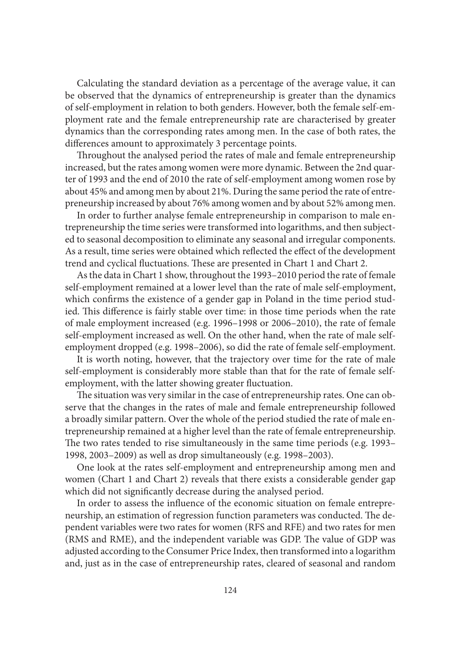Calculating the standard deviation as a percentage of the average value, it can be observed that the dynamics of entrepreneurship is greater than the dynamics of self-employment in relation to both genders. However, both the female self-employment rate and the female entrepreneurship rate are characterised by greater dynamics than the corresponding rates among men. In the case of both rates, the differences amount to approximately 3 percentage points.

Throughout the analysed period the rates of male and female entrepreneurship increased, but the rates among women were more dynamic. Between the 2nd quarter of 1993 and the end of 2010 the rate of self-employment among women rose by about 45% and among men by about 21%. During the same period the rate of entrepreneurship increased by about 76% among women and by about 52% among men.

In order to further analyse female entrepreneurship in comparison to male entrepreneurship the time series were transformed into logarithms, and then subjected to seasonal decomposition to eliminate any seasonal and irregular components. As a result, time series were obtained which reflected the effect of the development trend and cyclical fluctuations. These are presented in Chart 1 and Chart 2.

As the data in Chart 1 show, throughout the 1993–2010 period the rate of female self-employment remained at a lower level than the rate of male self-employment, which confirms the existence of a gender gap in Poland in the time period studied. This difference is fairly stable over time: in those time periods when the rate of male employment increased (e.g. 1996–1998 or 2006–2010), the rate of female self-employment increased as well. On the other hand, when the rate of male selfemployment dropped (e.g. 1998–2006), so did the rate of female self-employment.

It is worth noting, however, that the trajectory over time for the rate of male self-employment is considerably more stable than that for the rate of female selfemployment, with the latter showing greater fluctuation.

The situation was very similar in the case of entrepreneurship rates. One can observe that the changes in the rates of male and female entrepreneurship followed a broadly similar pattern. Over the whole of the period studied the rate of male entrepreneurship remained at a higher level than the rate of female entrepreneurship. The two rates tended to rise simultaneously in the same time periods (e.g. 1993– 1998, 2003–2009) as well as drop simultaneously (e.g. 1998–2003).

One look at the rates self-employment and entrepreneurship among men and women (Chart 1 and Chart 2) reveals that there exists a considerable gender gap which did not significantly decrease during the analysed period.

In order to assess the influence of the economic situation on female entrepreneurship, an estimation of regression function parameters was conducted. The dependent variables were two rates for women (RFS and RFE) and two rates for men (RMS and RME), and the independent variable was GDP. The value of GDP was adjusted according to the Consumer Price Index, then transformed into a logarithm and, just as in the case of entrepreneurship rates, cleared of seasonal and random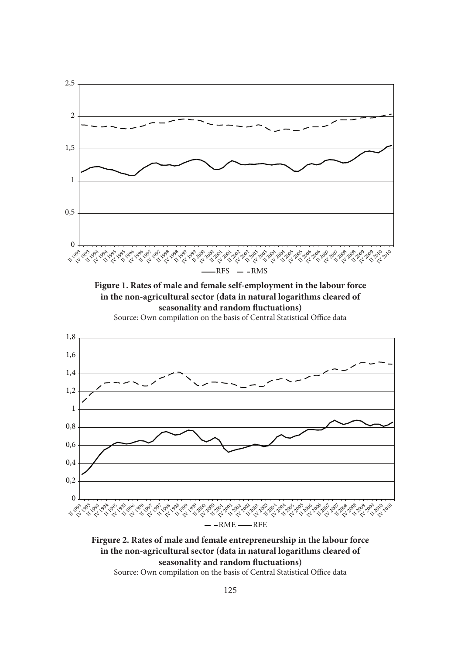

**Firgure 2. Rates of male and female entrepreneurship in the labour force in the non-agricultural sector (data in natural logarithms cleared of**  seasonality and random fluctuations)

Source: Own compilation on the basis of Central Statistical Office data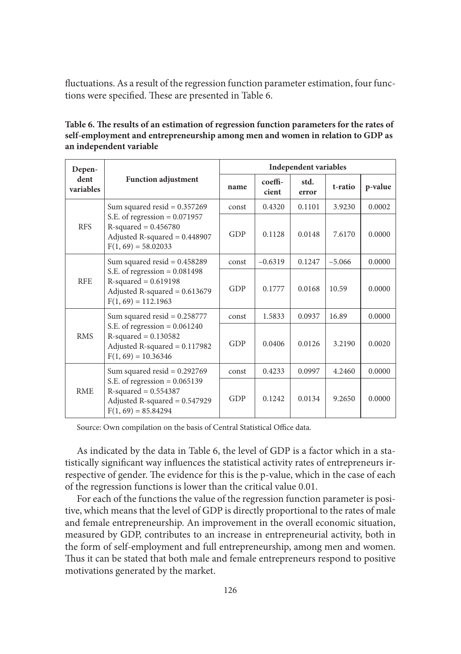fluctuations. As a result of the regression function parameter estimation, four functions were specified. These are presented in Table 6.

| Table 6. The results of an estimation of regression function parameters for the rates of |
|------------------------------------------------------------------------------------------|
| self-employment and entrepreneurship among men and women in relation to GDP as           |
| an independent variable                                                                  |

| Depen-            |                                                                                                                                                          | <b>Independent variables</b> |                  |               |          |         |
|-------------------|----------------------------------------------------------------------------------------------------------------------------------------------------------|------------------------------|------------------|---------------|----------|---------|
| dent<br>variables | <b>Function adjustment</b>                                                                                                                               | name                         | coeffi-<br>cient | std.<br>error | t-ratio  | p-value |
|                   | Sum squared resid = $0.357269$                                                                                                                           | const                        | 0.4320           | 0.1101        | 3.9230   | 0.0002  |
| <b>RFS</b>        | S.E. of regression $= 0.071957$<br>$R$ -squared = 0.456780<br>Adjusted R-squared $= 0.448907$<br>$F(1, 69) = 58.02033$                                   | GDP                          | 0.1128           | 0.0148        | 7.6170   | 0.0000  |
| <b>RFE</b>        | Sum squared resid = $0.458289$<br>S.E. of regression $= 0.081498$<br>$R$ -squared = 0.619198<br>Adjusted R-squared = $0.613679$<br>$F(1, 69) = 112.1963$ | const                        | $-0.6319$        | 0.1247        | $-5.066$ | 0.0000  |
|                   |                                                                                                                                                          | GDP                          | 0.1777           | 0.0168        | 10.59    | 0.0000  |
| <b>RMS</b>        | Sum squared resid = $0.258777$<br>S.E. of regression $= 0.061240$<br>$R$ -squared = 0.130582<br>Adjusted R-squared $= 0.117982$<br>$F(1, 69) = 10.36346$ | const                        | 1.5833           | 0.0937        | 16.89    | 0.0000  |
|                   |                                                                                                                                                          | GDP                          | 0.0406           | 0.0126        | 3.2190   | 0.0020  |
| <b>RME</b>        | Sum squared resid = $0.292769$                                                                                                                           | const                        | 0.4233           | 0.0997        | 4.2460   | 0.0000  |
|                   | S.E. of regression = $0.065139$<br>$R$ -squared = $0.554387$<br>Adjusted R-squared $= 0.547929$<br>$F(1, 69) = 85.84294$                                 | GDP                          | 0.1242           | 0.0134        | 9.2650   | 0.0000  |

Source: Own compilation on the basis of Central Statistical Office data.

As indicated by the data in Table 6, the level of GDP is a factor which in a statistically significant way influences the statistical activity rates of entrepreneurs irrespective of gender. The evidence for this is the p-value, which in the case of each of the regression functions is lower than the critical value 0.01.

For each of the functions the value of the regression function parameter is positive, which means that the level of GDP is directly proportional to the rates of male and female entrepreneurship. An improvement in the overall economic situation, measured by GDP, contributes to an increase in entrepreneurial activity, both in the form of self-employment and full entrepreneurship, among men and women. Thus it can be stated that both male and female entrepreneurs respond to positive motivations generated by the market.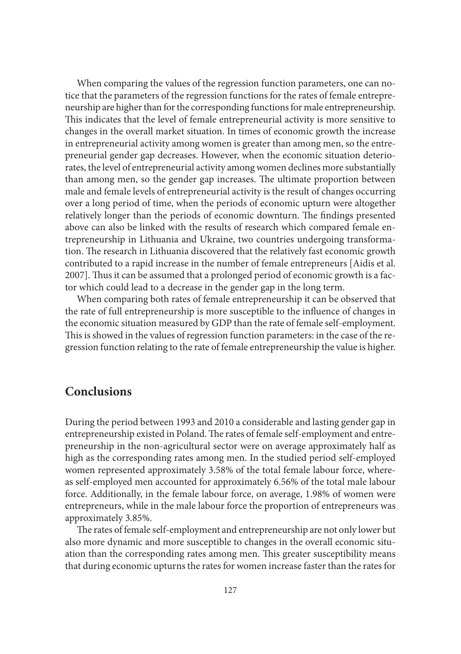When comparing the values of the regression function parameters, one can notice that the parameters of the regression functions for the rates of female entrepreneurship are higher than for the corresponding functions for male entrepreneurship. This indicates that the level of female entrepreneurial activity is more sensitive to changes in the overall market situation. In times of economic growth the increase in entrepreneurial activity among women is greater than among men, so the entrepreneurial gender gap decreases. However, when the economic situation deteriorates, the level of entrepreneurial activity among women declines more substantially than among men, so the gender gap increases. The ultimate proportion between male and female levels of entrepreneurial activity is the result of changes occurring over a long period of time, when the periods of economic upturn were altogether relatively longer than the periods of economic downturn. The findings presented above can also be linked with the results of research which compared female entrepreneurship in Lithuania and Ukraine, two countries undergoing transformation. The research in Lithuania discovered that the relatively fast economic growth contributed to a rapid increase in the number of female entrepreneurs [Aidis et al. 2007]. Thus it can be assumed that a prolonged period of economic growth is a factor which could lead to a decrease in the gender gap in the long term.

When comparing both rates of female entrepreneurship it can be observed that the rate of full entrepreneurship is more susceptible to the influence of changes in the economic situation measured by GDP than the rate of female self-employment. This is showed in the values of regression function parameters: in the case of the regression function relating to the rate of female entrepreneurship the value is higher.

## **Conclusions**

During the period between 1993 and 2010 a considerable and lasting gender gap in entrepreneurship existed in Poland. The rates of female self-employment and entrepreneurship in the non-agricultural sector were on average approximately half as high as the corresponding rates among men. In the studied period self-employed women represented approximately 3.58% of the total female labour force, whereas self-employed men accounted for approximately 6.56% of the total male labour force. Additionally, in the female labour force, on average, 1.98% of women were entrepreneurs, while in the male labour force the proportion of entrepreneurs was approximately 3.85%.

The rates of female self-employment and entrepreneurship are not only lower but also more dynamic and more susceptible to changes in the overall economic situation than the corresponding rates among men. This greater susceptibility means that during economic upturns the rates for women increase faster than the rates for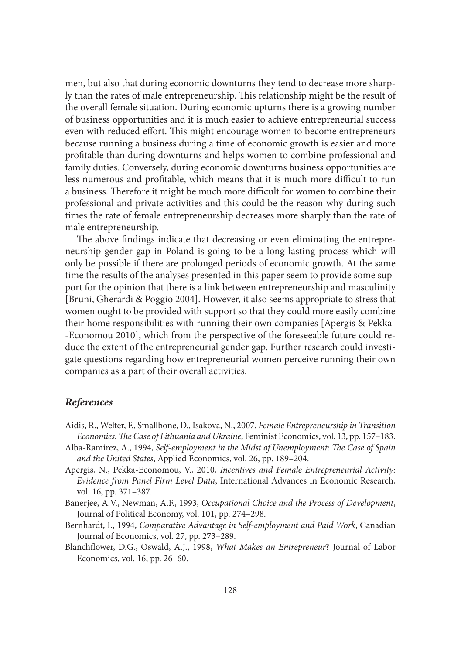men, but also that during economic downturns they tend to decrease more sharply than the rates of male entrepreneurship. This relationship might be the result of the overall female situation. During economic upturns there is a growing number of business opportunities and it is much easier to achieve entrepreneurial success even with reduced effort. This might encourage women to become entrepreneurs because running a business during a time of economic growth is easier and more profitable than during downturns and helps women to combine professional and family duties. Conversely, during economic downturns business opportunities are less numerous and profitable, which means that it is much more difficult to run a business. Therefore it might be much more difficult for women to combine their professional and private activities and this could be the reason why during such times the rate of female entrepreneurship decreases more sharply than the rate of male entrepreneurship.

The above findings indicate that decreasing or even eliminating the entrepreneurship gender gap in Poland is going to be a long-lasting process which will only be possible if there are prolonged periods of economic growth. At the same time the results of the analyses presented in this paper seem to provide some support for the opinion that there is a link between entrepreneurship and masculinity [Bruni, Gherardi & Poggio 2004]. However, it also seems appropriate to stress that women ought to be provided with support so that they could more easily combine their home responsibilities with running their own companies [Apergis & Pekka- -Economou 2010], which from the perspective of the foreseeable future could reduce the extent of the entrepreneurial gender gap. Further research could investigate questions regarding how entrepreneurial women perceive running their own companies as a part of their overall activities.

#### *References*

- Aidis, R., Welter, F., Smallbone, D., Isakova, N., 2007, *Female Entrepreneurship in Transition Economies: The Case of Lithuania and Ukraine*, Feminist Economics, vol. 13, pp. 157–183.
- Alba-Ramirez, A., 1994, *Self-employment in the Midst of Unemployment: The Case of Spain and the United States*, Applied Economics, vol. 26, pp. 189–204.
- Apergis, N., Pekka-Economou, V., 2010, *Incentives and Female Entrepreneurial Activity: Evidence from Panel Firm Level Data*, International Advances in Economic Research, vol. 16, pp. 371–387.
- Banerjee, A.V., Newman, A.F., 1993, *Occupational Choice and the Process of Development*, Journal of Political Economy, vol. 101, pp. 274–298.
- Bernhardt, I., 1994, *Comparative Advantage in Self-employment and Paid Work*, Canadian Journal of Economics, vol. 27, pp. 273–289.
- Blanchfl ower, D.G., Oswald, A.J., 1998, *What Makes an Entrepreneur*? Journal of Labor Economics, vol. 16, pp. 26–60.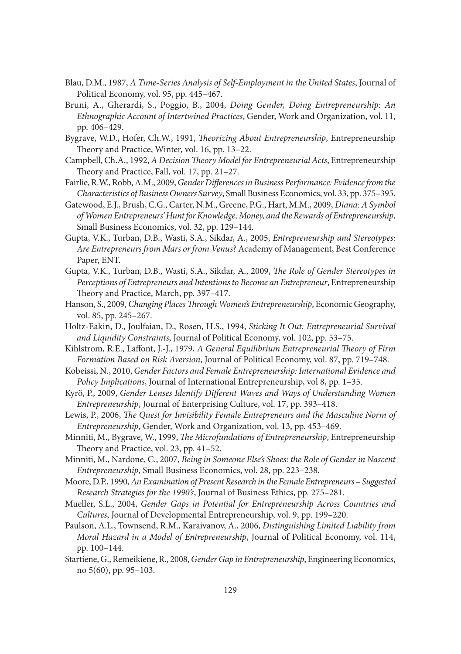- Blau, D.M., 1987, *A Time-Series Analysis of Self-Employment in the United States*, Journal of Political Economy, vol. 95, pp. 445–467.
- Bruni, A., Gherardi, S., Poggio, B., 2004, *Doing Gender, Doing Entrepreneurship: An Ethnographic Account of Intertwined Practices*, Gender, Work and Organization, vol. 11, pp. 406–429.
- Bygrave, W.D., Hofer, Ch.W., 1991, *Th eorizing About Entrepreneurship*, Entrepreneurship Theory and Practice, Winter, vol. 16, pp. 13–22.
- Campbell, Ch.A., 1992, *A Decision Theory Model for Entrepreneurial Acts*, Entrepreneurship Theory and Practice, Fall, vol. 17, pp. 21-27.
- Fairlie, R.W., Robb, A.M., 2009, *Gender Differences in Business Performance: Evidence from the Characteristics of Business Owners Survey*, Small Business Economics, vol. 33, pp. 375–395.
- Gatewood, E.J., Brush, C.G., Carter, N.M., Greene, P.G., Hart, M.M., 2009, *Diana: A Symbol of Women Entrepreneurs' Hunt for Knowledge, Money, and the Rewards of Entrepreneurship*, Small Business Economics, vol. 32, pp. 129–144.
- Gupta, V.K., Turban, D.B., Wasti, S.A., Sikdar, A., 2005, *Entrepreneurship and Stereotypes: Are Entrepreneurs from Mars or from Venus*? Academy of Management, Best Conference Paper, ENT.
- Gupta, V.K., Turban, D.B., Wasti, S.A., Sikdar, A., 2009, *The Role of Gender Stereotypes in Perceptions of Entrepreneurs and Intentions to Become an Entrepreneur*, Entrepreneurship Theory and Practice, March, pp. 397-417.
- Hanson, S., 2009, *Changing Places Through Women's Entrepreneurship*, Economic Geography, vol. 85, pp. 245–267.
- Holtz-Eakin, D., Joulfaian, D., Rosen, H.S., 1994, *Sticking It Out: Entrepreneurial Survival and Liquidity Constraints*, Journal of Political Economy, vol. 102, pp. 53–75.
- Kihlstrom, R.E., Laffont, J.-J., 1979, *A General Equilibrium Entrepreneurial Theory of Firm Formation Based on Risk Aversion*, Journal of Political Economy, vol. 87, pp. 719–748.
- Kobeissi, N., 2010, *Gender Factors and Female Entrepreneurship: International Evidence and Policy Implications*, Journal of International Entrepreneurship, vol 8, pp. 1–35.
- Kyrö, P., 2009, *Gender Lenses Identify Different Waves and Ways of Understanding Women Entrepreneurship*, Journal of Enterprising Culture, vol. 17, pp. 393–418.
- Lewis, P., 2006, *The Quest for Invisibility Female Entrepreneurs and the Masculine Norm of Entrepreneurship*, Gender, Work and Organization, vol. 13, pp. 453–469.
- Minniti, M., Bygrave, W., 1999, *The Microfundations of Entrepreneurship*, Entrepreneurship Theory and Practice, vol. 23, pp. 41–52.
- Minniti, M., Nardone, C., 2007, *Being in Someone Else's Shoes: the Role of Gender in Nascent Entrepreneurship*, Small Business Economics, vol. 28, pp. 223–238.
- Moore, D.P., 1990, *An Examination of Present Research in the Female Entrepreneurs Suggested Research Strategies for the 1990's*, Journal of Business Ethics, pp. 275–281.
- Mueller, S.L., 2004, *Gender Gaps in Potential for Entrepreneurship Across Countries and Cultures*, Journal of Developmental Entrepreneurship, vol. 9, pp. 199–220.
- Paulson, A.L., Townsend, R.M., Karaivanov, A., 2006, *Distinguishing Limited Liability from Moral Hazard in a Model of Entrepreneurship*, Journal of Political Economy, vol. 114, pp. 100–144.
- Startiene, G., Remeikiene, R., 2008, *Gender Gap in Entrepreneurship*, Engineering Economics, no 5(60), pp. 95–103.